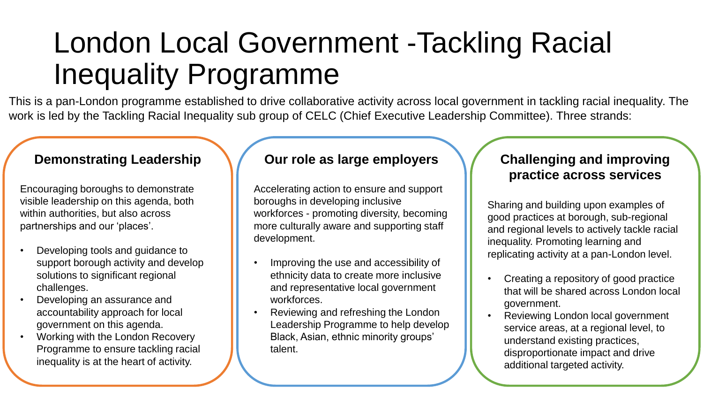# London Local Government -Tackling Racial Inequality Programme

This is a pan-London programme established to drive collaborative activity across local government in tackling racial inequality. The work is led by the Tackling Racial Inequality sub group of CELC (Chief Executive Leadership Committee). Three strands:

### **Demonstrating Leadership**

Encouraging boroughs to demonstrate visible leadership on this agenda, both within authorities, but also across partnerships and our 'places'.

- Developing tools and guidance to support borough activity and develop solutions to significant regional challenges.
- Developing an assurance and accountability approach for local government on this agenda.
- Working with the London Recovery Programme to ensure tackling racial inequality is at the heart of activity.

### **Our role as large employers**

Accelerating action to ensure and support boroughs in developing inclusive workforces - promoting diversity, becoming more culturally aware and supporting staff development.

- Improving the use and accessibility of ethnicity data to create more inclusive and representative local government workforces.
- Reviewing and refreshing the London Leadership Programme to help develop Black, Asian, ethnic minority groups' talent.

## **Challenging and improving practice across services**

Sharing and building upon examples of good practices at borough, sub-regional and regional levels to actively tackle racial inequality. Promoting learning and replicating activity at a pan-London level.

- Creating a repository of good practice that will be shared across London local government.
- Reviewing London local government service areas, at a regional level, to understand existing practices, disproportionate impact and drive additional targeted activity.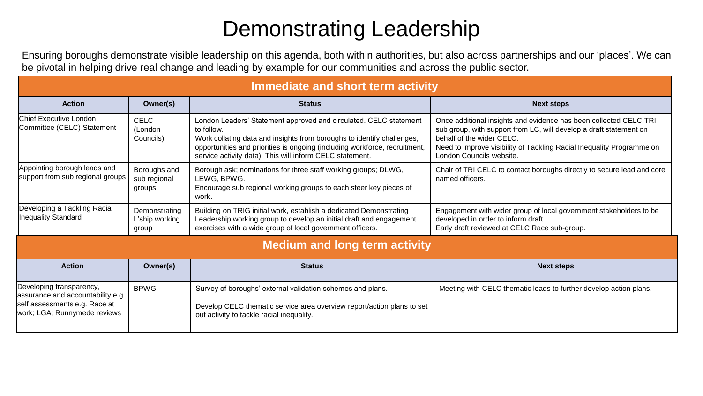## Demonstrating Leadership

Ensuring boroughs demonstrate visible leadership on this agenda, both within authorities, but also across partnerships and our 'places'. We can be pivotal in helping drive real change and leading by example for our communities and across the public sector.

| Immediate and short term activity                                                                                                             |                                          |                                                                                                                                                                                                                                                                                                     |                                                                                                                                                                                                                                                                           |  |  |
|-----------------------------------------------------------------------------------------------------------------------------------------------|------------------------------------------|-----------------------------------------------------------------------------------------------------------------------------------------------------------------------------------------------------------------------------------------------------------------------------------------------------|---------------------------------------------------------------------------------------------------------------------------------------------------------------------------------------------------------------------------------------------------------------------------|--|--|
| <b>Action</b>                                                                                                                                 | Owner(s)                                 | <b>Status</b>                                                                                                                                                                                                                                                                                       | <b>Next steps</b>                                                                                                                                                                                                                                                         |  |  |
| Chief Executive London<br>Committee (CELC) Statement                                                                                          | <b>CELC</b><br>(London<br>Councils)      | London Leaders' Statement approved and circulated. CELC statement<br>to follow.<br>Work collating data and insights from boroughs to identify challenges,<br>opportunities and priorities is ongoing (including workforce, recruitment,<br>service activity data). This will inform CELC statement. | Once additional insights and evidence has been collected CELC TRI<br>sub group, with support from LC, will develop a draft statement on<br>behalf of the wider CELC.<br>Need to improve visibility of Tackling Racial Inequality Programme on<br>London Councils website. |  |  |
| Appointing borough leads and<br>support from sub regional groups                                                                              | Boroughs and<br>sub regional<br>groups   | Borough ask; nominations for three staff working groups; DLWG,<br>LEWG, BPWG.<br>Encourage sub regional working groups to each steer key pieces of<br>work.                                                                                                                                         | Chair of TRI CELC to contact boroughs directly to secure lead and core<br>named officers.                                                                                                                                                                                 |  |  |
| Developing a Tackling Racial<br><b>Inequality Standard</b>                                                                                    | Demonstrating<br>L'ship working<br>group | Building on TRIG initial work, establish a dedicated Demonstrating<br>Leadership working group to develop an initial draft and engagement<br>exercises with a wide group of local government officers.                                                                                              | Engagement with wider group of local government stakeholders to be<br>developed in order to inform draft.<br>Early draft reviewed at CELC Race sub-group.                                                                                                                 |  |  |
| <b>Medium and long term activity</b>                                                                                                          |                                          |                                                                                                                                                                                                                                                                                                     |                                                                                                                                                                                                                                                                           |  |  |
| <b>Action</b>                                                                                                                                 | Owner(s)                                 | <b>Status</b>                                                                                                                                                                                                                                                                                       | <b>Next steps</b>                                                                                                                                                                                                                                                         |  |  |
| Developing transparency,<br><b>BPWG</b><br>assurance and accountability e.g.<br>self assessments e.g. Race at<br>work; LGA; Runnymede reviews |                                          | Survey of boroughs' external validation schemes and plans.<br>Develop CELC thematic service area overview report/action plans to set<br>out activity to tackle racial inequality.                                                                                                                   | Meeting with CELC thematic leads to further develop action plans.                                                                                                                                                                                                         |  |  |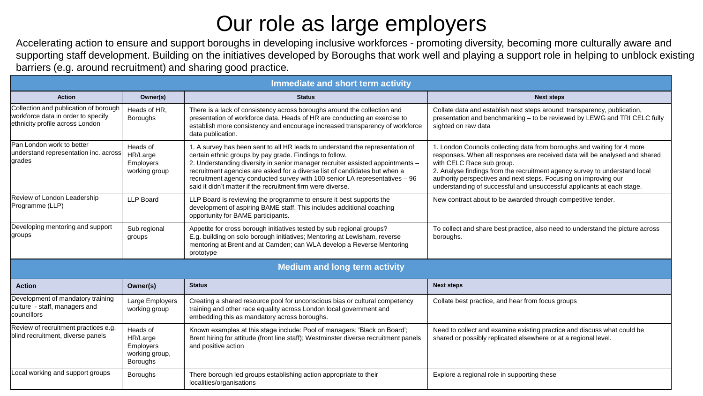## Our role as large employers

Accelerating action to ensure and support boroughs in developing inclusive workforces - promoting diversity, becoming more culturally aware and supporting staff development. Building on the initiatives developed by Boroughs that work well and playing a support role in helping to unblock existing barriers (e.g. around recruitment) and sharing good practice.

| Immediate and short term activity                                                                              |                                                                        |                                                                                                                                                                                                                                                                                                                                                                                                                                                        |                                                                                                                                                                                                                                                                                                                                                                                                                 |  |  |
|----------------------------------------------------------------------------------------------------------------|------------------------------------------------------------------------|--------------------------------------------------------------------------------------------------------------------------------------------------------------------------------------------------------------------------------------------------------------------------------------------------------------------------------------------------------------------------------------------------------------------------------------------------------|-----------------------------------------------------------------------------------------------------------------------------------------------------------------------------------------------------------------------------------------------------------------------------------------------------------------------------------------------------------------------------------------------------------------|--|--|
| <b>Action</b>                                                                                                  | Owner(s)                                                               | <b>Status</b>                                                                                                                                                                                                                                                                                                                                                                                                                                          | <b>Next steps</b>                                                                                                                                                                                                                                                                                                                                                                                               |  |  |
| Collection and publication of borough<br>workforce data in order to specify<br>ethnicity profile across London | Heads of HR,<br><b>Boroughs</b>                                        | There is a lack of consistency across boroughs around the collection and<br>presentation of workforce data. Heads of HR are conducting an exercise to<br>establish more consistency and encourage increased transparency of workforce<br>data publication.                                                                                                                                                                                             | Collate data and establish next steps around: transparency, publication,<br>presentation and benchmarking - to be reviewed by LEWG and TRI CELC fully<br>sighted on raw data                                                                                                                                                                                                                                    |  |  |
| <b>Pan London work to better</b><br>understand representation inc. across<br><b>lgrades</b>                    | Heads of<br>HR/Large<br><b>Employers</b><br>working group              | 1. A survey has been sent to all HR leads to understand the representation of<br>certain ethnic groups by pay grade. Findings to follow.<br>2. Understanding diversity in senior manager recruiter assisted appointments -<br>recruitment agencies are asked for a diverse list of candidates but when a<br>recruitment agency conducted survey with 100 senior LA representatives - 96<br>said it didn't matter if the recruitment firm were diverse. | 1. London Councils collecting data from boroughs and waiting for 4 more<br>responses. When all responses are received data will be analysed and shared<br>with CELC Race sub group.<br>2. Analyse findings from the recruitment agency survey to understand local<br>authority perspectives and next steps. Focusing on improving our<br>understanding of successful and unsuccessful applicants at each stage. |  |  |
| Review of London Leadership<br>Programme (LLP)                                                                 | <b>LLP Board</b>                                                       | LLP Board is reviewing the programme to ensure it best supports the<br>development of aspiring BAME staff. This includes additional coaching<br>opportunity for BAME participants.                                                                                                                                                                                                                                                                     | New contract about to be awarded through competitive tender.                                                                                                                                                                                                                                                                                                                                                    |  |  |
| Developing mentoring and support<br>groups                                                                     | Sub regional<br>groups                                                 | Appetite for cross borough initiatives tested by sub regional groups?<br>E.g. building on solo borough initiatives; Mentoring at Lewisham, reverse<br>mentoring at Brent and at Camden; can WLA develop a Reverse Mentoring<br>prototype                                                                                                                                                                                                               | To collect and share best practice, also need to understand the picture across<br>boroughs.                                                                                                                                                                                                                                                                                                                     |  |  |
|                                                                                                                |                                                                        | <b>Medium and long term activity</b>                                                                                                                                                                                                                                                                                                                                                                                                                   |                                                                                                                                                                                                                                                                                                                                                                                                                 |  |  |
| <b>Action</b>                                                                                                  | Owner(s)                                                               | <b>Status</b>                                                                                                                                                                                                                                                                                                                                                                                                                                          | <b>Next steps</b>                                                                                                                                                                                                                                                                                                                                                                                               |  |  |
| Development of mandatory training<br>culture - staff, managers and<br><b>councillors</b>                       | Large Employers<br>working group                                       | Creating a shared resource pool for unconscious bias or cultural competency<br>training and other race equality across London local government and<br>embedding this as mandatory across boroughs.                                                                                                                                                                                                                                                     | Collate best practice, and hear from focus groups                                                                                                                                                                                                                                                                                                                                                               |  |  |
| Review of recruitment practices e.g.<br>blind recruitment, diverse panels                                      | Heads of<br>HR/Large<br>Employers<br>working group,<br><b>Boroughs</b> | Known examples at this stage include: Pool of managers; 'Black on Board';<br>Brent hiring for attitude (front line staff); Westminster diverse recruitment panels<br>and positive action                                                                                                                                                                                                                                                               | Need to collect and examine existing practice and discuss what could be<br>shared or possibly replicated elsewhere or at a regional level.                                                                                                                                                                                                                                                                      |  |  |
| Local working and support groups                                                                               | Boroughs                                                               | There borough led groups establishing action appropriate to their<br>localities/organisations                                                                                                                                                                                                                                                                                                                                                          | Explore a regional role in supporting these                                                                                                                                                                                                                                                                                                                                                                     |  |  |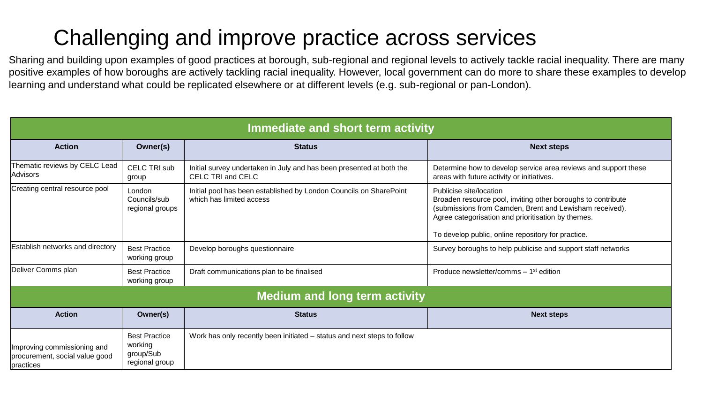# Challenging and improve practice across services

Sharing and building upon examples of good practices at borough, sub-regional and regional levels to actively tackle racial inequality. There are many positive examples of how boroughs are actively tackling racial inequality. However, local government can do more to share these examples to develop learning and understand what could be replicated elsewhere or at different levels (e.g. sub-regional or pan-London).

| Immediate and short term activity                                          |                                                                |                                                                                                  |                                                                                                                                                                                                                                                                |  |  |
|----------------------------------------------------------------------------|----------------------------------------------------------------|--------------------------------------------------------------------------------------------------|----------------------------------------------------------------------------------------------------------------------------------------------------------------------------------------------------------------------------------------------------------------|--|--|
| <b>Action</b>                                                              | Owner(s)                                                       | <b>Status</b>                                                                                    | <b>Next steps</b>                                                                                                                                                                                                                                              |  |  |
| Thematic reviews by CELC Lead<br>lAdvisors                                 | <b>CELC TRI sub</b><br>group                                   | Initial survey undertaken in July and has been presented at both the<br><b>CELC TRI and CELC</b> | Determine how to develop service area reviews and support these<br>areas with future activity or initiatives.                                                                                                                                                  |  |  |
| Creating central resource pool                                             | London<br>Councils/sub<br>regional groups                      | Initial pool has been established by London Councils on SharePoint<br>which has limited access   | Publicise site/location<br>Broaden resource pool, inviting other boroughs to contribute<br>(submissions from Camden, Brent and Lewisham received).<br>Agree categorisation and prioritisation by themes.<br>To develop public, online repository for practice. |  |  |
| Establish networks and directory                                           | <b>Best Practice</b><br>working group                          | Develop boroughs questionnaire                                                                   | Survey boroughs to help publicise and support staff networks                                                                                                                                                                                                   |  |  |
| Deliver Comms plan                                                         | <b>Best Practice</b><br>working group                          | Draft communications plan to be finalised                                                        | Produce newsletter/comms - 1 <sup>st</sup> edition                                                                                                                                                                                                             |  |  |
| <b>Medium and long term activity</b>                                       |                                                                |                                                                                                  |                                                                                                                                                                                                                                                                |  |  |
| <b>Action</b>                                                              | Owner(s)                                                       | <b>Status</b>                                                                                    | <b>Next steps</b>                                                                                                                                                                                                                                              |  |  |
| Improving commissioning and<br>procurement, social value good<br>practices | <b>Best Practice</b><br>working<br>group/Sub<br>regional group | Work has only recently been initiated – status and next steps to follow                          |                                                                                                                                                                                                                                                                |  |  |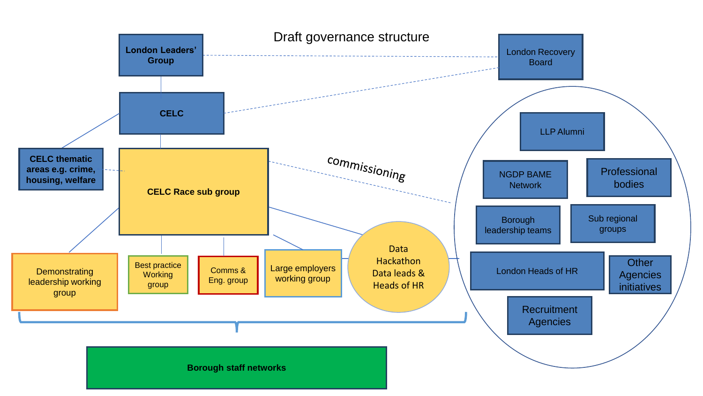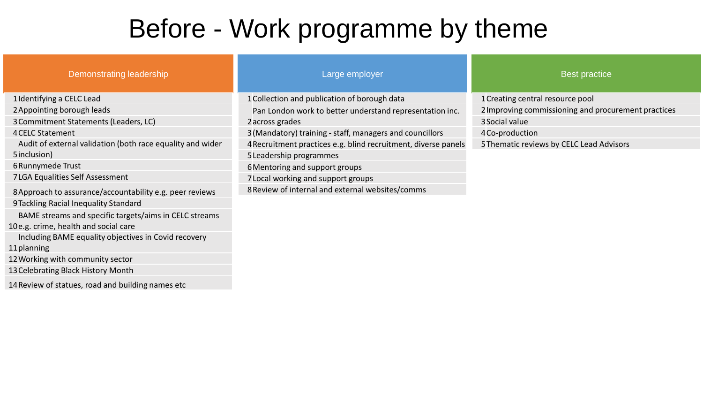# Before - Work programme by theme

| Demonstrating leadership                                   | Large employer                                                 | <b>Best practice</b>                                |  |  |
|------------------------------------------------------------|----------------------------------------------------------------|-----------------------------------------------------|--|--|
| 1 Identifying a CELC Lead                                  | 1 Collection and publication of borough data                   | 1 Creating central resource pool                    |  |  |
| 2 Appointing borough leads                                 | Pan London work to better understand representation inc.       | 2 Improving commissioning and procurement practices |  |  |
| 3 Commitment Statements (Leaders, LC)                      | 2 across grades                                                | 3 Social value                                      |  |  |
| <b>4 CELC Statement</b>                                    | 3 (Mandatory) training - staff, managers and councillors       | 4 Co-production                                     |  |  |
| Audit of external validation (both race equality and wider | 4 Recruitment practices e.g. blind recruitment, diverse panels | 5 Thematic reviews by CELC Lead Advisors            |  |  |
| 5 inclusion)                                               | 5 Leadership programmes                                        |                                                     |  |  |
| 6 Runnymede Trust                                          | 6 Mentoring and support groups                                 |                                                     |  |  |
| 7LGA Equalities Self Assessment                            | 7 Local working and support groups                             |                                                     |  |  |
| 8 Approach to assurance/accountability e.g. peer reviews   | 8 Review of internal and external websites/comms               |                                                     |  |  |
| 9 Tackling Racial Inequality Standard                      |                                                                |                                                     |  |  |
| BAME streams and specific targets/aims in CELC streams     |                                                                |                                                     |  |  |
| 10e.g. crime, health and social care                       |                                                                |                                                     |  |  |
| Including BAME equality objectives in Covid recovery       |                                                                |                                                     |  |  |
| 11 planning                                                |                                                                |                                                     |  |  |
| 12 Working with community sector                           |                                                                |                                                     |  |  |
| 13 Celebrating Black History Month                         |                                                                |                                                     |  |  |
| 14 Review of statues, road and building names etc          |                                                                |                                                     |  |  |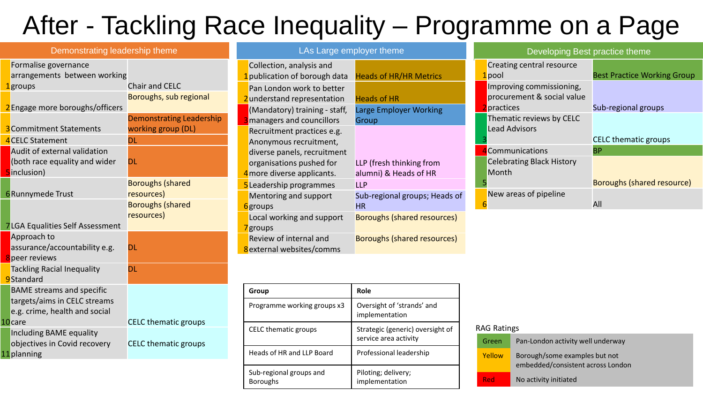# After - Tackling Race Inequality – Programme on a Page

| Demonstrating leadership theme                          |                                 | LAs Large employer theme                                |                                    | Developing Best practice theme          |                                   |                                    |
|---------------------------------------------------------|---------------------------------|---------------------------------------------------------|------------------------------------|-----------------------------------------|-----------------------------------|------------------------------------|
| Formalise governance<br>arrangements between working    |                                 | Collection, analysis and<br>publication of borough data | <b>Heads of HR/HR Metrics</b>      | l pool                                  | Creating central resource         | <b>Best Practice Working Group</b> |
| <mark>l</mark> groups                                   | <b>Chair and CELC</b>           | Pan London work to better                               |                                    |                                         | Improving commissioning,          |                                    |
|                                                         | Boroughs, sub regional          | 2understand representation                              | <b>Heads of HR</b>                 |                                         | procurement & social value        |                                    |
| 2 Engage more boroughs/officers                         |                                 | (Mandatory) training - staff,                           | <b>Large Employer Working</b>      | practices                               |                                   | Sub-regional groups                |
|                                                         | <b>Demonstrating Leadership</b> | managers and councillors                                | Group                              |                                         | Thematic reviews by CELC          |                                    |
| <b>3</b> Commitment Statements<br>4 CELC Statement      | working group (DL)<br>DL        | Recruitment practices e.g.                              |                                    |                                         | <b>Lead Advisors</b>              | <b>CELC</b> thematic groups        |
| Audit of external validation                            |                                 | Anonymous recruitment,                                  |                                    |                                         | <b>Communications</b>             | <b>BP</b>                          |
| (both race equality and wider                           | <b>DL</b>                       | diverse panels, recruitment<br>organisations pushed for | LLP (fresh thinking from           |                                         | <b>Celebrating Black History</b>  |                                    |
| 5inclusion)                                             |                                 | 4 more diverse applicants.                              | alumni) & Heads of HR              | Month                                   |                                   |                                    |
|                                                         | <b>Boroughs (shared</b>         | 5 Leadership programmes                                 | <b>LLP</b>                         |                                         |                                   | Boroughs (shared resource)         |
| <b>6</b> Runnymede Trust                                | resources)                      | Mentoring and support                                   | Sub-regional groups; Heads of      |                                         | New areas of pipeline             |                                    |
|                                                         | <b>Boroughs (shared</b>         | 6 <sub>groups</sub>                                     | <b>HR</b>                          |                                         |                                   | All                                |
|                                                         | resources)                      | Local working and support                               | <b>Boroughs (shared resources)</b> |                                         |                                   |                                    |
| 7 LGA Equalities Self Assessment                        |                                 | 7 <sub>groups</sub>                                     |                                    |                                         |                                   |                                    |
| Approach to<br>assurance/accountability e.g.            | DL                              | Review of internal and                                  | <b>Boroughs (shared resources)</b> |                                         |                                   |                                    |
| peer reviews                                            |                                 | 8external websites/comms                                |                                    |                                         |                                   |                                    |
| <b>Tackling Racial Inequality</b>                       | <b>DL</b>                       |                                                         |                                    |                                         |                                   |                                    |
| 9Standard                                               |                                 |                                                         |                                    |                                         |                                   |                                    |
| <b>BAME</b> streams and specific                        |                                 | Group                                                   | Role                               |                                         |                                   |                                    |
| targets/aims in CELC streams                            |                                 | Programme working groups x3                             | Oversight of 'strands' and         |                                         |                                   |                                    |
| e.g. crime, health and social                           |                                 |                                                         | implementation                     |                                         |                                   |                                    |
| 10 <sub>care</sub>                                      | <b>CELC</b> thematic groups     | CELC thematic groups                                    | Strategic (generic) oversight of   | <b>RAG Ratings</b>                      |                                   |                                    |
| Including BAME equality<br>objectives in Covid recovery | <b>CELC</b> thematic groups     |                                                         | service area activity              | Green                                   | Pan-London activity well underway |                                    |
| 11 planning                                             |                                 | Heads of HR and LLP Board                               | Professional leadership            | Yellow<br>Borough/some examples but not |                                   |                                    |

Piloting; delivery; implementation

Sub-regional groups and

Boroughs

embedded/consistent across London

Red No activity initiated